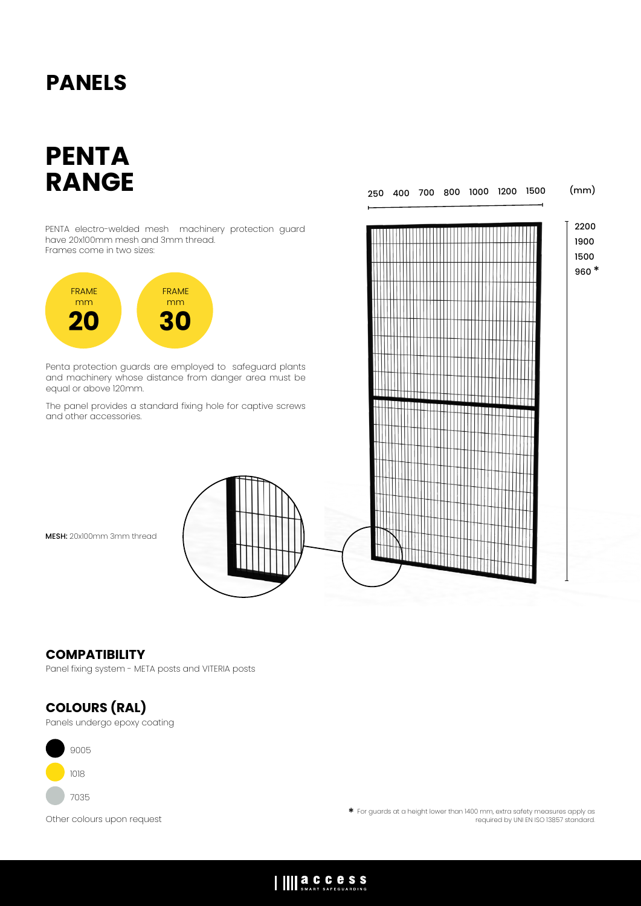## **PANELS**

# **PENTA RANGE**

PENTA electro-welded mesh machinery protection guard have 20x100mm mesh and 3mm thread. Frames come in two sizes:



Penta protection guards are employed to safeguard plants and machinery whose distance from danger area must be equal or above 120mm.

The panel provides a standard fixing hole for captive screws and other accessories.



# 2200 1900 1500 960 \* 250 400 700 800 1000 1200 1500 (mm)

#### **COMPATIBILITY**

Panel fixing system - META posts and VITERIA posts

### **COLOURS (RAL)**

Panels undergo epoxy coating



Other colours upon request \* For guards at a height lower than 1400 mm, extra safety measures apply as required by UNI EN ISO 13857 standard.

IIII **a.C.C.C.S.S.**